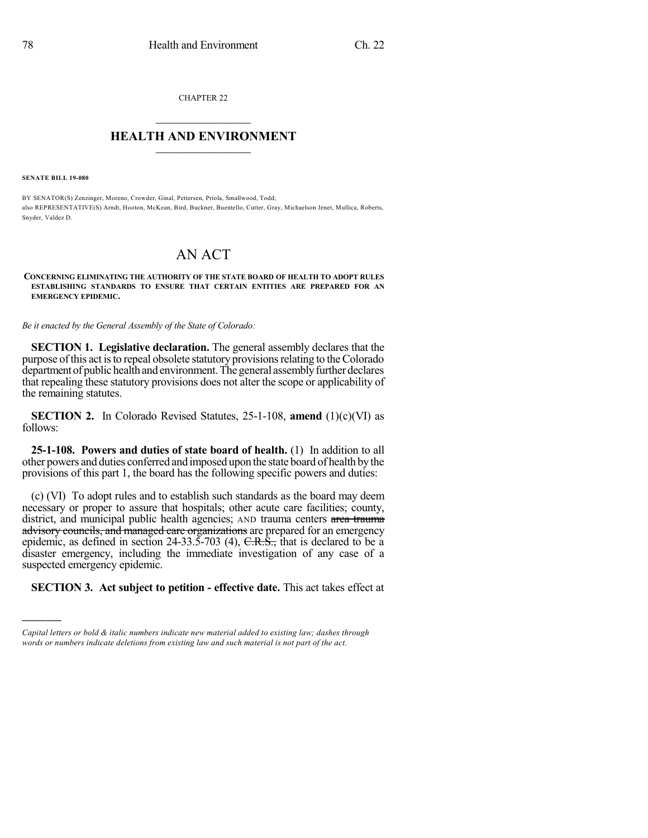CHAPTER 22

## $\overline{\phantom{a}}$  . The set of the set of the set of the set of the set of the set of the set of the set of the set of the set of the set of the set of the set of the set of the set of the set of the set of the set of the set o **HEALTH AND ENVIRONMENT**  $\_$

**SENATE BILL 19-080**

)))))

BY SENATOR(S) Zenzinger, Moreno, Crowder, Ginal, Pettersen, Priola, Smallwood, Todd; also REPRESENTATIVE(S) Arndt, Hooton, McKean, Bird, Buckner, Buentello, Cutter, Gray, Michaelson Jenet, Mullica, Roberts, Snyder, Valdez D.

## AN ACT

**CONCERNING ELIMINATING THE AUTHORITY OF THE STATE BOARD OF HEALTH TO ADOPT RULES ESTABLISHING STANDARDS TO ENSURE THAT CERTAIN ENTITIES ARE PREPARED FOR AN EMERGENCY EPIDEMIC.**

*Be it enacted by the General Assembly of the State of Colorado:*

**SECTION 1. Legislative declaration.** The general assembly declares that the purpose of this act is to repeal obsolete statutory provisions relating to the Colorado department of public health and environment. The general assembly further declares that repealing these statutory provisions does not alter the scope or applicability of the remaining statutes.

**SECTION 2.** In Colorado Revised Statutes, 25-1-108, **amend** (1)(c)(VI) as follows:

**25-1-108. Powers and duties of state board of health.** (1) In addition to all other powers and duties conferred and imposed upon the state board of health bythe provisions of this part 1, the board has the following specific powers and duties:

(c) (VI) To adopt rules and to establish such standards as the board may deem necessary or proper to assure that hospitals; other acute care facilities; county, district, and municipal public health agencies; AND trauma centers area trauma advisory councils, and managed care organizations are prepared for an emergency epidemic, as defined in section 24-33.5-703 (4),  $C.R.\overline{S}$ , that is declared to be a disaster emergency, including the immediate investigation of any case of a suspected emergency epidemic.

**SECTION 3. Act subject to petition - effective date.** This act takes effect at

*Capital letters or bold & italic numbers indicate new material added to existing law; dashes through words or numbers indicate deletions from existing law and such material is not part of the act.*